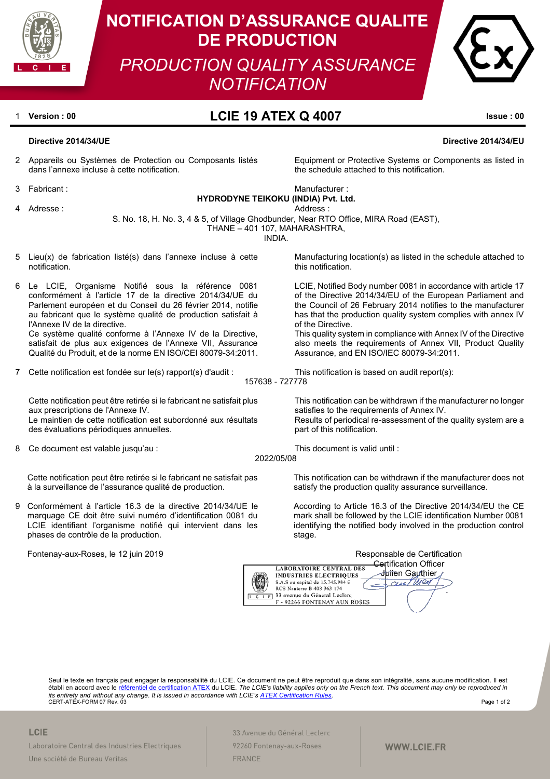

# **NOTIFICATION D'ASSURANCE QUALITE DE PRODUCTION**

*PRODUCTION QUALITY ASSURANCE NOTIFICATION*



# <sup>1</sup> **Version : 00 LCIE 19 ATEX Q 4007 Issue : 00**

# **Directive 2014/34/UE Directive 2014/34/EU**

2 Appareils ou Systèmes de Protection ou Composants listés dans l'annexe incluse à cette notification.

3 Fabricant : Manufacturer : Manufacturer : Manufacturer : Manufacturer : Manufacturer : Manufacturer : Manufacturer :  $\mathcal{M}$ 

**HYDRODYNE TEIKOKU (INDIA) Pvt. Ltd.**

4 Adresse : Address : Address : Address : Address : Address : Address : Address :

S. No. 18, H. No. 3, 4 & 5, of Village Ghodbunder, Near RTO Office, MIRA Road (EAST),

THANE – 401 107, MAHARASHTRA,

INDIA.

- Lieu(x) de fabrication listé(s) dans l'annexe incluse à cette notification.
- 6 Le LCIE, Organisme Notifié sous la référence 0081 conformément à l'article 17 de la directive 2014/34/UE du Parlement européen et du Conseil du 26 février 2014, notifie au fabricant que le système qualité de production satisfait à l'Annexe IV de la directive. Ce système qualité conforme à l'Annexe IV de la Directive,

satisfait de plus aux exigences de l'Annexe VII, Assurance Qualité du Produit, et de la norme EN ISO/CEI 80079-34:2011.

7 Cette notification est fondée sur le(s) rapport(s) d'audit : This notification is based on audit report(s):

Cette notification peut être retirée si le fabricant ne satisfait plus aux prescriptions de l'Annexe IV. Le maintien de cette notification est subordonné aux résultats des évaluations périodiques annuelles.

8 Ce document est valable jusqu'au : This document is valid until :

Cette notification peut être retirée si le fabricant ne satisfait pas à la surveillance de l'assurance qualité de production.

9 Conformément à l'article 16.3 de la directive 2014/34/UE le marquage CE doit être suivi numéro d'identification 0081 du LCIE identifiant l'organisme notifié qui intervient dans les phases de contrôle de la production.

Fontenay-aux-Roses, le 12 juin 2019 **Responsable de Certification** Responsable de Certification

Manufacturing location(s) as listed in the schedule attached to this notification.

Equipment or Protective Systems or Components as listed in

the schedule attached to this notification.

LCIE, Notified Body number 0081 in accordance with article 17 of the Directive 2014/34/EU of the European Parliament and the Council of 26 February 2014 notifies to the manufacturer has that the production quality system complies with annex IV of the Directive.

This quality system in compliance with Annex IV of the Directive also meets the requirements of Annex VII, Product Quality Assurance, and EN ISO/IEC 80079-34:2011.

157638 - 727778

This notification can be withdrawn if the manufacturer no longer satisfies to the requirements of Annex IV. Results of periodical re-assessment of the quality system are a part of this notification.

## 2022/05/08

This notification can be withdrawn if the manufacturer does not satisfy the production quality assurance surveillance.

According to Article 16.3 of the Directive 2014/34/EU the CE mark shall be followed by the LCIE identification Number 0081 identifying the notified body involved in the production control stage.



Seul le texte en français peut engager la responsabilité du LCIE. Ce document ne peut être reproduit que dans son intégralité, sans aucune modification. Il est établi en accord avec l[e référentiel de certification ATEX](http://www.lcie.fr/368-nos-services/certification/regles-de-certification.html) du LCIE. *The LCIE's liability applies only on the French text. This document may only be reproduced in its entirety and without any change. It is issued in accordance with LCIE'[s ATEX Certification Rules.](http://www.lcie.fr/368-nos-services/certification/regles-de-certification.html)* CERT-ATEX-FORM 07 Rev. 03 Page 1 of 2

### **LCIE**

Laboratoire Central des Industries Electriques Une société de Bureau Veritas

33 Avenue du Général Leclerc 92260 Fontenay-aux-Roses FRANCE